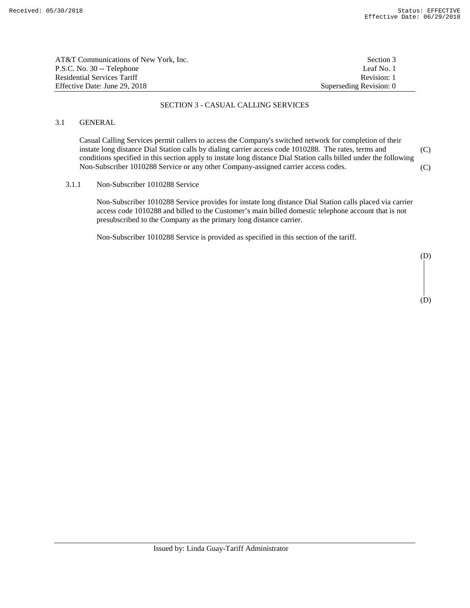| AT&T Communications of New York, Inc. | Section 3               |
|---------------------------------------|-------------------------|
| P.S.C. No. 30 -- Telephone            | Leaf No. 1              |
| Residential Services Tariff           | Revision: 1             |
| Effective Date: June 29, 2018         | Superseding Revision: 0 |

#### SECTION 3 - CASUAL CALLING SERVICES

# 3.1 GENERAL

 Casual Calling Services permit callers to access the Company's switched network for completion of their instate long distance Dial Station calls by dialing carrier access code 1010288. The rates, terms and conditions specified in this section apply to instate long distance Dial Station calls billed under the following Non-Subscriber 1010288 Service or any other Company-assigned carrier access codes. (C) (C)

#### 3.1.1 Non-Subscriber 1010288 Service

 Non-Subscriber 1010288 Service provides for instate long distance Dial Station calls placed via carrier access code 1010288 and billed to the Customer's main billed domestic telephone account that is not presubscribed to the Company as the primary long distance carrier.

Non-Subscriber 1010288 Service is provided as specified in this section of the tariff.

(D) (D)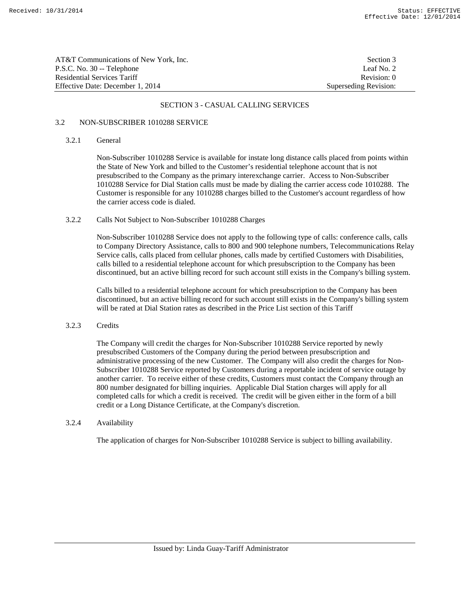| AT&T Communications of New York, Inc. | Section 3             |
|---------------------------------------|-----------------------|
| P.S.C. No. 30 -- Telephone            | Leaf No. 2            |
| Residential Services Tariff           | Revision: 0           |
| Effective Date: December 1. 2014      | Superseding Revision: |

#### SECTION 3 - CASUAL CALLING SERVICES

#### 3.2 NON-SUBSCRIBER 1010288 SERVICE

#### 3.2.1 General

 Non-Subscriber 1010288 Service is available for instate long distance calls placed from points within the State of New York and billed to the Customer's residential telephone account that is not presubscribed to the Company as the primary interexchange carrier. Access to Non-Subscriber 1010288 Service for Dial Station calls must be made by dialing the carrier access code 1010288. The Customer is responsible for any 1010288 charges billed to the Customer's account regardless of how the carrier access code is dialed.

# 3.2.2 Calls Not Subject to Non-Subscriber 1010288 Charges

 Non-Subscriber 1010288 Service does not apply to the following type of calls: conference calls, calls to Company Directory Assistance, calls to 800 and 900 telephone numbers, Telecommunications Relay Service calls, calls placed from cellular phones, calls made by certified Customers with Disabilities, calls billed to a residential telephone account for which presubscription to the Company has been discontinued, but an active billing record for such account still exists in the Company's billing system.

 Calls billed to a residential telephone account for which presubscription to the Company has been discontinued, but an active billing record for such account still exists in the Company's billing system will be rated at Dial Station rates as described in the Price List section of this Tariff

#### 3.2.3 Credits

 The Company will credit the charges for Non-Subscriber 1010288 Service reported by newly presubscribed Customers of the Company during the period between presubscription and administrative processing of the new Customer. The Company will also credit the charges for Non-Subscriber 1010288 Service reported by Customers during a reportable incident of service outage by another carrier.To receive either of these credits, Customers must contact the Company through an 800 number designated for billing inquiries. Applicable Dial Station charges will apply for all completed calls for which a credit is received. The credit will be given either in the form of a bill credit or a Long Distance Certificate, at the Company's discretion.

# 3.2.4 Availability

The application of charges for Non-Subscriber 1010288 Service is subject to billing availability.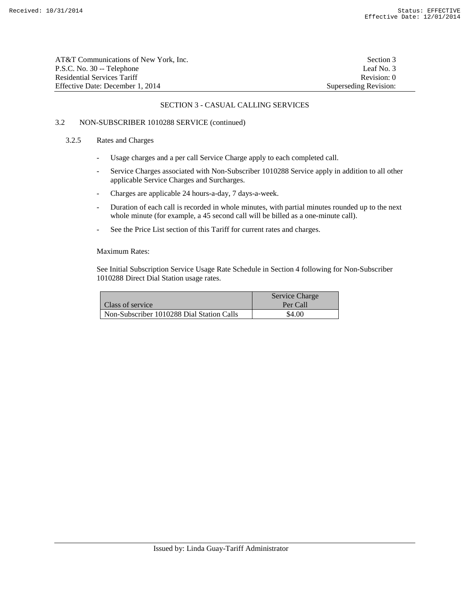| AT&T Communications of New York, Inc. | Section 3             |
|---------------------------------------|-----------------------|
| P.S.C. No. 30 -- Telephone            | Leaf No. 3            |
| <b>Residential Services Tariff</b>    | Revision: 0           |
| Effective Date: December 1, 2014      | Superseding Revision: |

#### SECTION 3 - CASUAL CALLING SERVICES

# 3.2 NON-SUBSCRIBER 1010288 SERVICE (continued)

# 3.2.5 Rates and Charges

- Usage charges and a per call Service Charge apply to each completed call.
- Service Charges associated with Non-Subscriber 1010288 Service apply in addition to all other applicable Service Charges and Surcharges.
- Charges are applicable 24 hours-a-day, 7 days-a-week.
- Duration of each call is recorded in whole minutes, with partial minutes rounded up to the next whole minute (for example, a 45 second call will be billed as a one-minute call).
- See the Price List section of this Tariff for current rates and charges.

#### Maximum Rates:

 See Initial Subscription Service Usage Rate Schedule in Section 4 following for Non-Subscriber 1010288 Direct Dial Station usage rates.

|                                           | Service Charge |
|-------------------------------------------|----------------|
| <b>Class of service</b>                   | Per Call       |
| Non-Subscriber 1010288 Dial Station Calls | \$4.00         |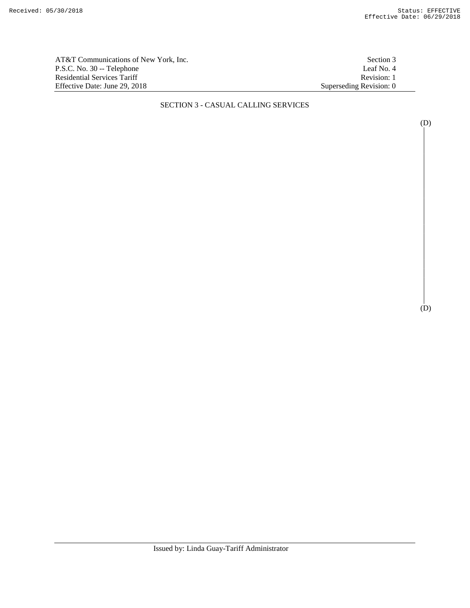AT&T Communications of New York, Inc.<br>
P.S.C. No. 30 -- Telephone<br>
Leaf No. 4 P.S.C. No. 30 -- Telephone Residential Services Tariff Revision: 1<br>Effective Date: June 29, 2018 Superseding Revision: 0 Effective Date: June 29, 2018

#### SECTION 3 - CASUAL CALLING SERVICES

(D)

(D)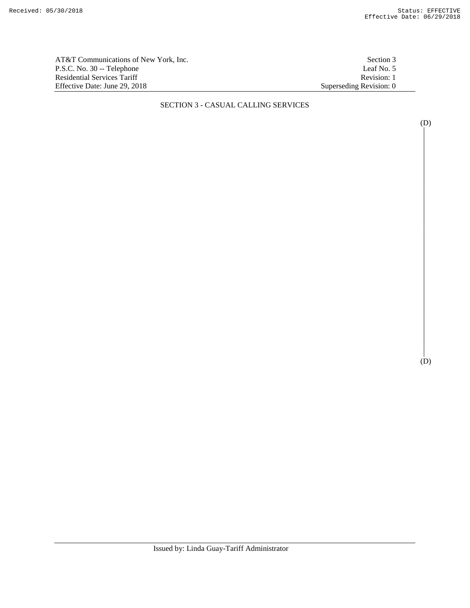AT&T Communications of New York, Inc.<br>
P.S.C. No. 30 -- Telephone<br>
Leaf No. 5 P.S.C. No. 30 -- Telephone Residential Services Tariff Revision: 1<br>Effective Date: June 29, 2018 Superseding Revision: 0 Effective Date: June 29, 2018

# SECTION 3 - CASUAL CALLING SERVICES

(D)